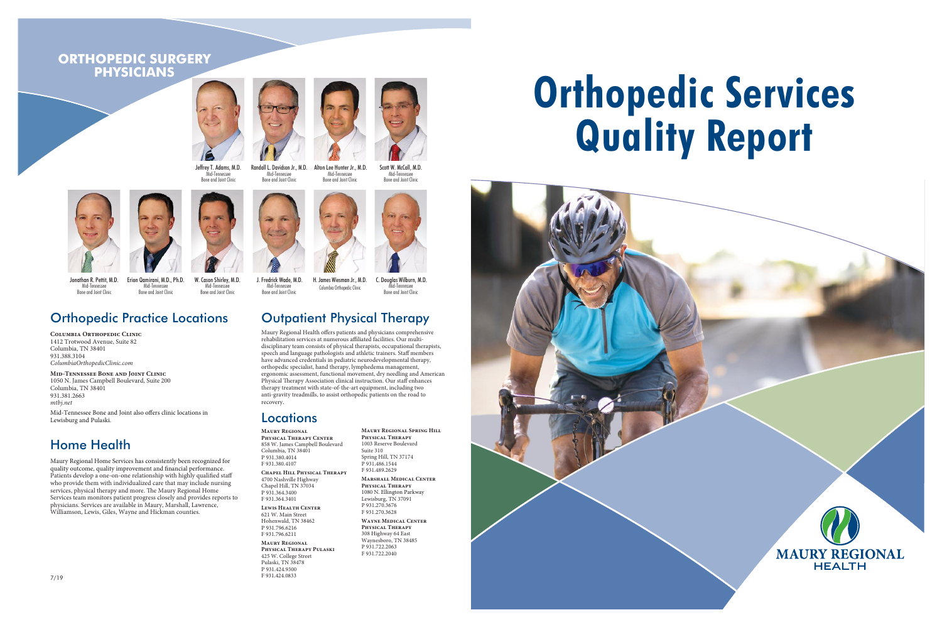**Columbia Orthopedic Clinic** 1412 Trotwood Avenue, Suite 82 Columbia, TN 38401 931.388.3104 *ColumbiaOrthopedicClinic.com*

**Mid-Tennessee Bone and Joint Clinic** 1050 N. James Campbell Boulevard, Suite 200 Columbia, TN 38401 931.381.2663 *mtbj.net*

Mid-Tennessee Bone and Joint also offers clinic locations in Lewisburg and Pulaski.

#### Home Health

Maury Regional Home Services has consistently been recognized for quality outcome, quality improvement and financial performance. Patients develop a one-on-one relationship with highly qualified staff who provide them with individualized care that may include nursing services, physical therapy and more. The Maury Regional Home Services team monitors patient progress closely and provides reports to physicians. Services are available in Maury, Marshall, Lawrence, Williamson, Lewis, Giles, Wayne and Hickman counties.

**Maury Regional Physical Therapy Center** 858 W. James Campbell Boulevard Columbia, TN 38401 P 931.380.4014 F 931.380.4107

Scott W. McCall, M.D. Mid-Tennessee Bone and Joint Clinic

**Chapel Hill Physical Therapy** 4700 Nashville Highway Chapel Hill, TN 37034 P 931.364.3400 F 931.364.3401

**Lewis Health Center** 621 W. Main Street Hohenwald, TN 38462 P 931.796.6216 F 931.796.6211

#### **Maury Regional Physical Therapy Pulaski** 425 W. College Street

Pulaski, TN 38478 P 931.424.9300 F 931.424.0833

**Maury Regional Spring Hill Physical Therapy** 1003 Reserve Boulevard Suite 310 Spring Hill, TN 37174 P 931.486.1544 F 931.489.2629

**Marshall Medical Center Physical Therapy** 1080 N. Ellington Parkway Lewisburg, TN 37091 P 931.270.3676 F 931.270.3628

**Wayne Medical Center Physical Therapy** 308 Highway 64 East Waynesboro, TN 38485 P 931.722.2063 F 931.722.2040



#### **ORTHOPEDIC SURGERY PHYSICIANS**





Jeffrey T. Adams, M.D. Mid-Tennessee Bone and Joint Clinic







Mid-Tennessee Bone and Joint Clinic



Jonathan R. Pettit, M.D. Mid-Tennessee Bone and Joint Clinic

Erion Qamirani, M.D., Ph.D. Mid-Tennessee Bone and Joint Clinic

#### **Orthopedic Practice Locations**





J. Fredrick Wade, M.D. Mid-Tennessee Bone and Joint Clinic



C. Douglas Wilburn, M.D.

Mid-Tennessee Bone and Joint Clinic

#### Outpatient Physical Therapy

Maury Regional Health offers patients and physicians comprehensive rehabilitation services at numerous affiliated facilities. Our multidisciplinary team consists of physical therapists, occupational therapists, speech and language pathologists and athletic trainers. Staff members have advanced credentials in pediatric neurodevelopmental therapy, orthopedic specialist, hand therapy, lymphedema management, ergonomic assessment, functional movement, dry needling and American Physical Therapy Association clinical instruction. Our staff enhances therapy treatment with state-of-the-art equipment, including two anti-gravity treadmills, to assist orthopedic patients on the road to recovery.

#### **Locations**

# **Orthopedic Services Quality Report**







7/19